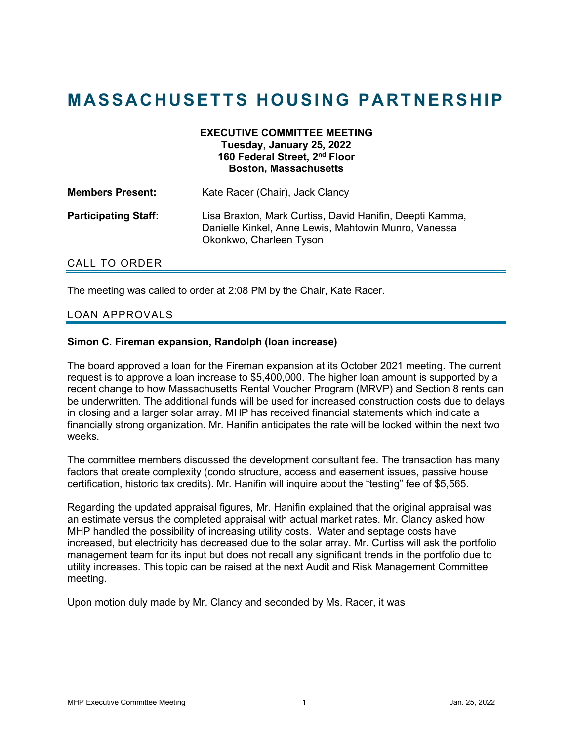# **MASSACHUSETTS HOUSING PARTNERSHIP**

### **EXECUTIVE COMMITTEE MEETING Tuesday, January 25, 2022 160 Federal Street, 2nd Floor Boston, Massachusetts**

| <b>Members Present:</b>     | Kate Racer (Chair), Jack Clancy                                                                                                             |
|-----------------------------|---------------------------------------------------------------------------------------------------------------------------------------------|
| <b>Participating Staff:</b> | Lisa Braxton, Mark Curtiss, David Hanifin, Deepti Kamma,<br>Danielle Kinkel, Anne Lewis, Mahtowin Munro, Vanessa<br>Okonkwo, Charleen Tyson |

# CALL TO ORDER

The meeting was called to order at 2:08 PM by the Chair, Kate Racer.

# LOAN APPROVALS

#### **Simon C. Fireman expansion, Randolph (loan increase)**

The board approved a loan for the Fireman expansion at its October 2021 meeting. The current request is to approve a loan increase to \$5,400,000. The higher loan amount is supported by a recent change to how Massachusetts Rental Voucher Program (MRVP) and Section 8 rents can be underwritten. The additional funds will be used for increased construction costs due to delays in closing and a larger solar array. MHP has received financial statements which indicate a financially strong organization. Mr. Hanifin anticipates the rate will be locked within the next two weeks.

The committee members discussed the development consultant fee. The transaction has many factors that create complexity (condo structure, access and easement issues, passive house certification, historic tax credits). Mr. Hanifin will inquire about the "testing" fee of \$5,565.

Regarding the updated appraisal figures, Mr. Hanifin explained that the original appraisal was an estimate versus the completed appraisal with actual market rates. Mr. Clancy asked how MHP handled the possibility of increasing utility costs. Water and septage costs have increased, but electricity has decreased due to the solar array. Mr. Curtiss will ask the portfolio management team for its input but does not recall any significant trends in the portfolio due to utility increases. This topic can be raised at the next Audit and Risk Management Committee meeting.

Upon motion duly made by Mr. Clancy and seconded by Ms. Racer, it was